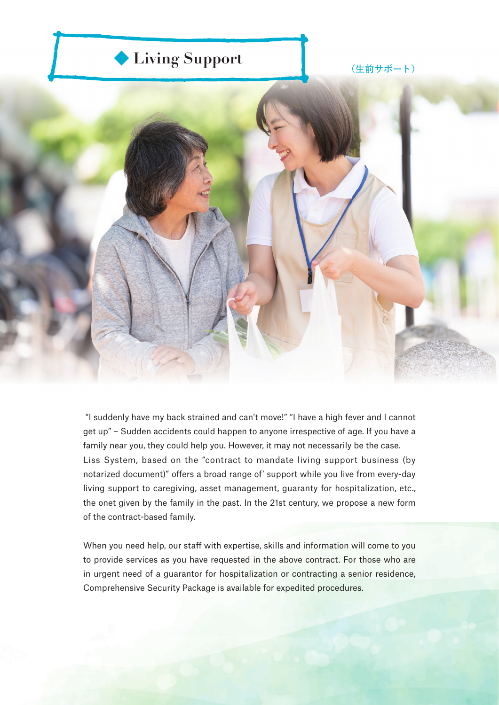

 "I suddenly have my back strained and can't move!" "I have a high fever and I cannot get up" – Sudden accidents could happen to anyone irrespective of age. If you have a family near you, they could help you. However, it may not necessarily be the case. Liss System, based on the "contract to mandate living support business (by notarized document)" offers a broad range of' support while you live from every-day living support to caregiving, asset management, guaranty for hospitalization, etc., the onet given by the family in the past. In the 21st century, we propose a new form of the contract-based family.

When you need help, our staff with expertise, skills and information will come to you to provide services as you have requested in the above contract. For those who are in urgent need of a guarantor for hospitalization or contracting a senior residence, Comprehensive Security Package is available for expedited procedures.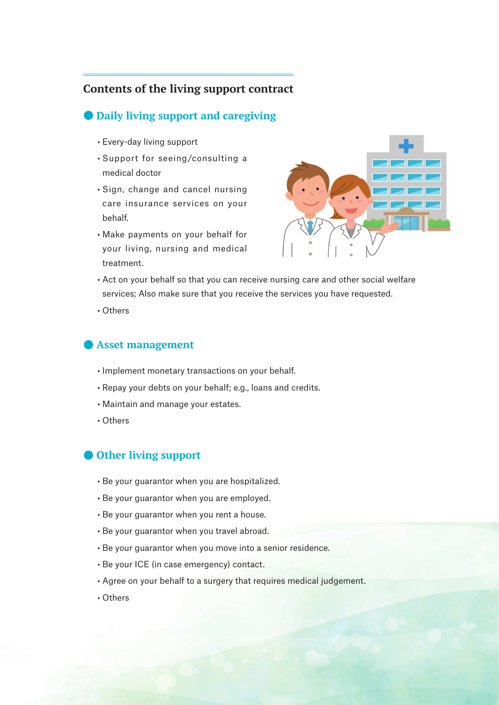# **Contents of the living support contract**

### ● **Daily living support and caregiving**

- Every-day living support
- Support for seeing/consulting a medical doctor
- Sign, change and cancel nursing care insurance services on your behalf.
- Make payments on your behalf for your living, nursing and medical treatment.



- Act on your behalf so that you can receive nursing care and other social welfare services; Also make sure that you receive the services you have requested.
- Others

### ● **Asset management**

- Implement monetary transactions on your behalf.
- Repay your debts on your behalf; e.g., loans and credits.
- Maintain and manage your estates.
- Others

### ● **Other living support**

- Be your guarantor when you are hospitalized.
- Be your guarantor when you are employed.
- Be your guarantor when you rent a house.
- Be your guarantor when you travel abroad.
- Be your guarantor when you move into a senior residence.
- Be your ICE (in case emergency) contact.
- Agree on your behalf to a surgery that requires medical judgement.
- Others